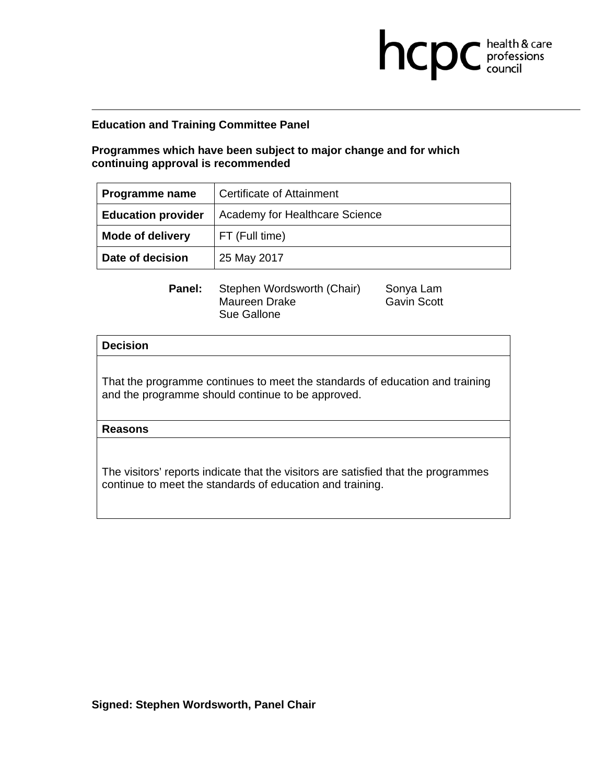**Programmes which have been subject to major change and for which continuing approval is recommended** 

| Programme name            | Certificate of Attainment      |
|---------------------------|--------------------------------|
| <b>Education provider</b> | Academy for Healthcare Science |
| <b>Mode of delivery</b>   | FT (Full time)                 |
| Date of decision          | 25 May 2017                    |

**Panel:** Stephen Wordsworth (Chair) Sonya Lam Maureen Drake Gavin Scott Sue Gallone

**health & care** 

## **Decision**

That the programme continues to meet the standards of education and training and the programme should continue to be approved.

**Reasons**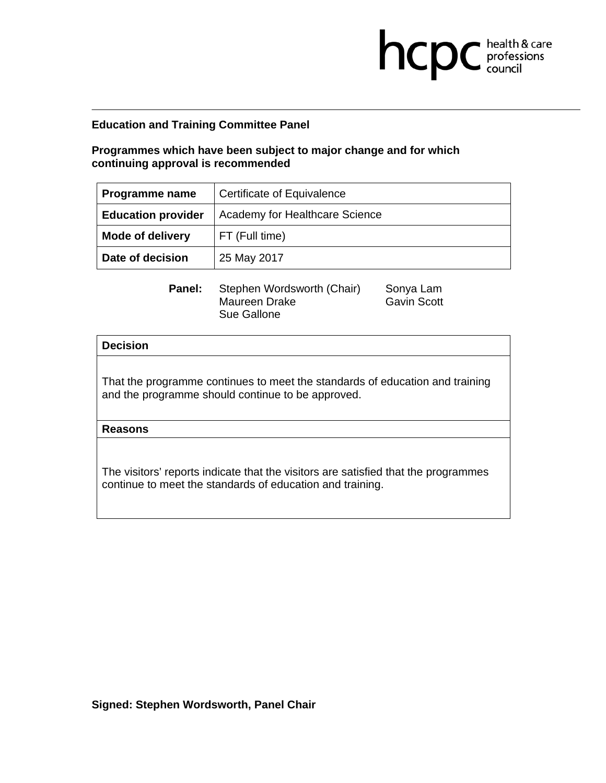**Programmes which have been subject to major change and for which continuing approval is recommended** 

| Programme name            | Certificate of Equivalence     |
|---------------------------|--------------------------------|
| <b>Education provider</b> | Academy for Healthcare Science |
| <b>Mode of delivery</b>   | FT (Full time)                 |
| Date of decision          | 25 May 2017                    |

**Panel:** Stephen Wordsworth (Chair) Sonya Lam Maureen Drake Gavin Scott Sue Gallone

**health & care** 

## **Decision**

That the programme continues to meet the standards of education and training and the programme should continue to be approved.

**Reasons**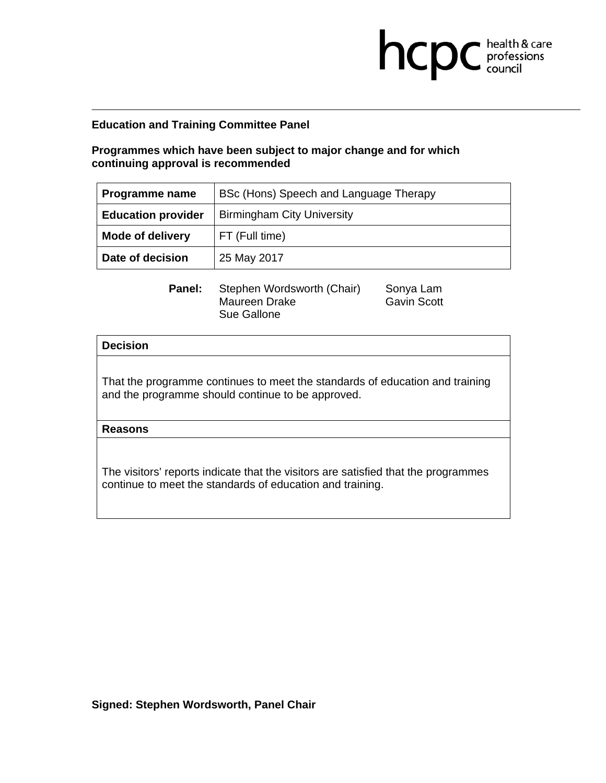**Programmes which have been subject to major change and for which continuing approval is recommended** 

| <b>Programme name</b>     | BSc (Hons) Speech and Language Therapy |
|---------------------------|----------------------------------------|
| <b>Education provider</b> | <b>Birmingham City University</b>      |
| <b>Mode of delivery</b>   | FT (Full time)                         |
| Date of decision          | 25 May 2017                            |

**Panel:** Stephen Wordsworth (Chair) Sonya Lam Maureen Drake Gavin Scott Sue Gallone

**health & care** 

## **Decision**

That the programme continues to meet the standards of education and training and the programme should continue to be approved.

**Reasons**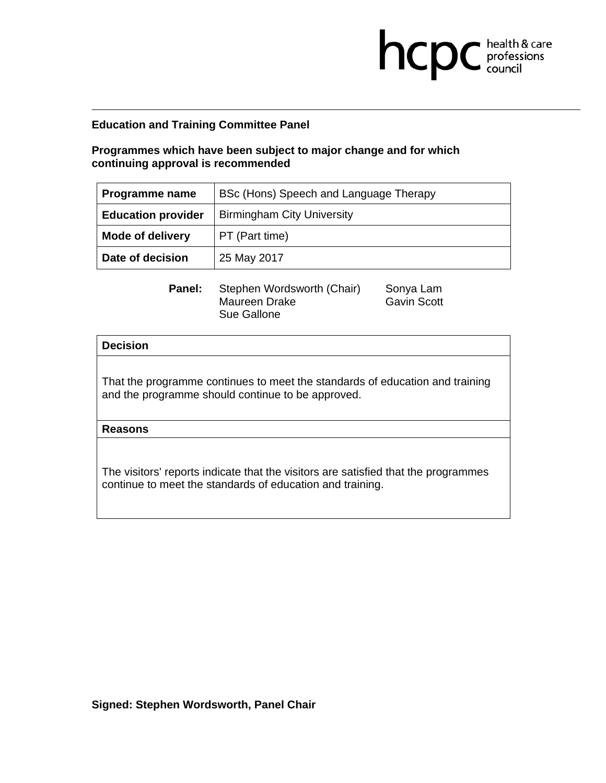**Programmes which have been subject to major change and for which continuing approval is recommended** 

| Programme name            | BSc (Hons) Speech and Language Therapy |
|---------------------------|----------------------------------------|
| <b>Education provider</b> | <b>Birmingham City University</b>      |
| <b>Mode of delivery</b>   | PT (Part time)                         |
| Date of decision          | 25 May 2017                            |

**Panel:** Stephen Wordsworth (Chair) Sonya Lam Maureen Drake Gavin Scott Sue Gallone

**health & care** 

## **Decision**

That the programme continues to meet the standards of education and training and the programme should continue to be approved.

**Reasons**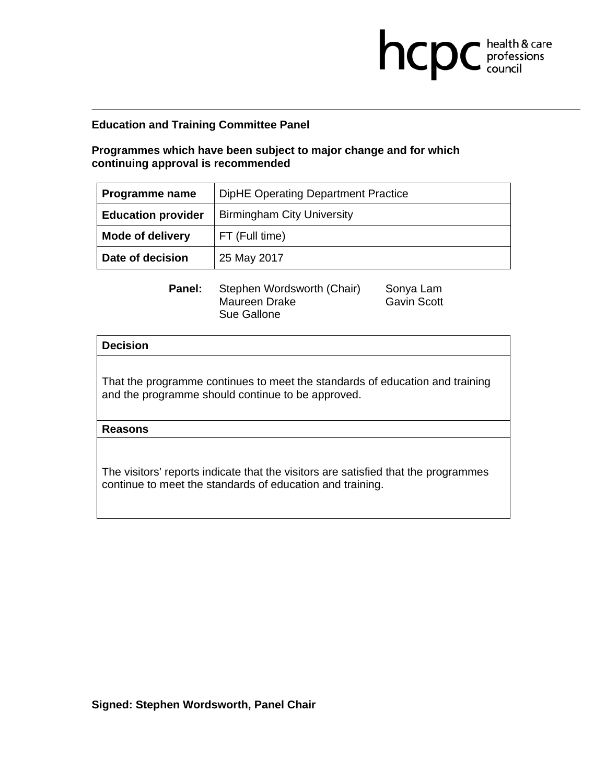**Programmes which have been subject to major change and for which continuing approval is recommended** 

| Programme name            | DipHE Operating Department Practice |
|---------------------------|-------------------------------------|
| <b>Education provider</b> | <b>Birmingham City University</b>   |
| <b>Mode of delivery</b>   | FT (Full time)                      |
| Date of decision          | 25 May 2017                         |

**Panel:** Stephen Wordsworth (Chair) Sonya Lam Maureen Drake Gavin Scott Sue Gallone

**health & care** 

## **Decision**

That the programme continues to meet the standards of education and training and the programme should continue to be approved.

**Reasons**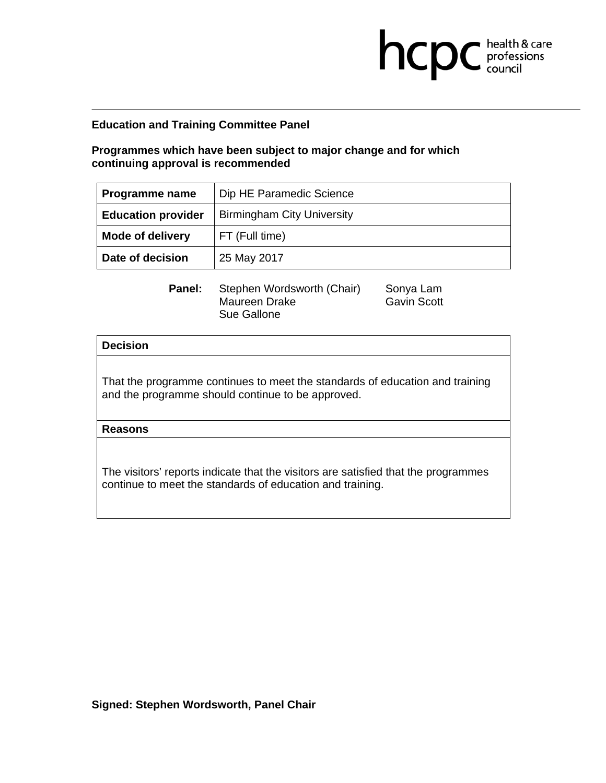**Programmes which have been subject to major change and for which continuing approval is recommended** 

| Programme name            | Dip HE Paramedic Science          |
|---------------------------|-----------------------------------|
| <b>Education provider</b> | <b>Birmingham City University</b> |
| <b>Mode of delivery</b>   | FT (Full time)                    |
| Date of decision          | 25 May 2017                       |

**Panel:** Stephen Wordsworth (Chair) Sonya Lam Maureen Drake Gavin Scott Sue Gallone

**health & care** 

## **Decision**

That the programme continues to meet the standards of education and training and the programme should continue to be approved.

**Reasons**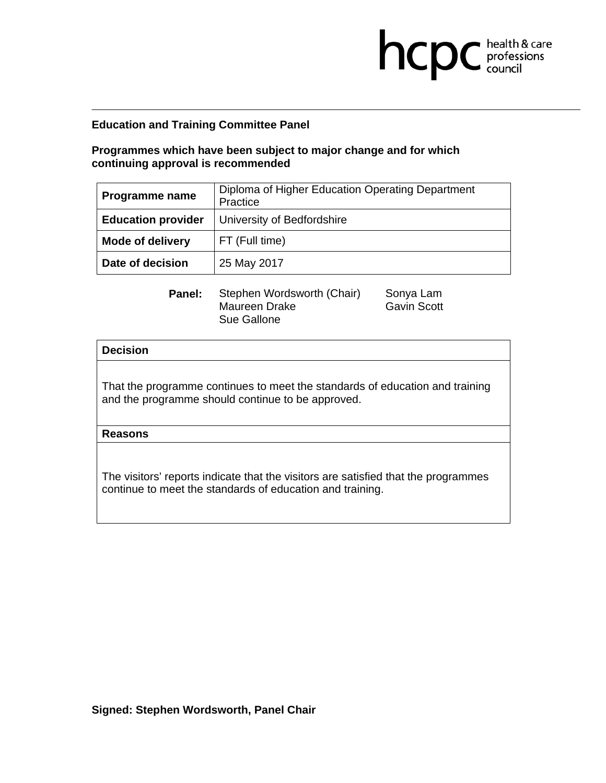# **Programmes which have been subject to major change and for which continuing approval is recommended**

| Programme name            | Diploma of Higher Education Operating Department<br>Practice |
|---------------------------|--------------------------------------------------------------|
| <b>Education provider</b> | University of Bedfordshire                                   |
| <b>Mode of delivery</b>   | FT (Full time)                                               |
| Date of decision          | 25 May 2017                                                  |

| Panel: | Stephen Wordsworth (Chair) | Sonya Lam          |
|--------|----------------------------|--------------------|
|        | Maureen Drake              | <b>Gavin Scott</b> |
|        | Sue Gallone                |                    |

# avin Scott

**health & care** 

## **Decision**

That the programme continues to meet the standards of education and training and the programme should continue to be approved.

## **Reasons**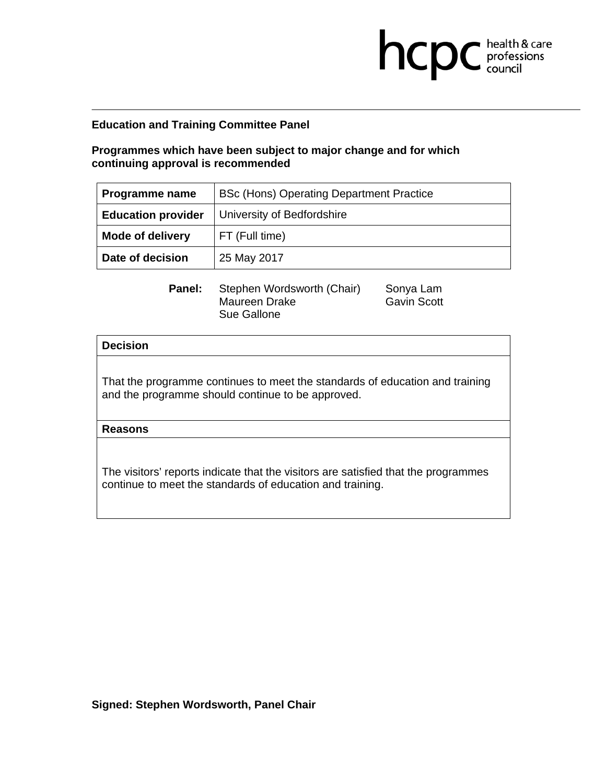# **Programmes which have been subject to major change and for which continuing approval is recommended**

| <b>Programme name</b>     | BSc (Hons) Operating Department Practice |
|---------------------------|------------------------------------------|
| <b>Education provider</b> | University of Bedfordshire               |
| <b>Mode of delivery</b>   | FT (Full time)                           |
| Date of decision          | 25 May 2017                              |

**Panel:** Stephen Wordsworth (Chair) Sonya Lam Maureen Drake Gavin Scott Sue Gallone

**health & care** 

## **Decision**

That the programme continues to meet the standards of education and training and the programme should continue to be approved.

**Reasons**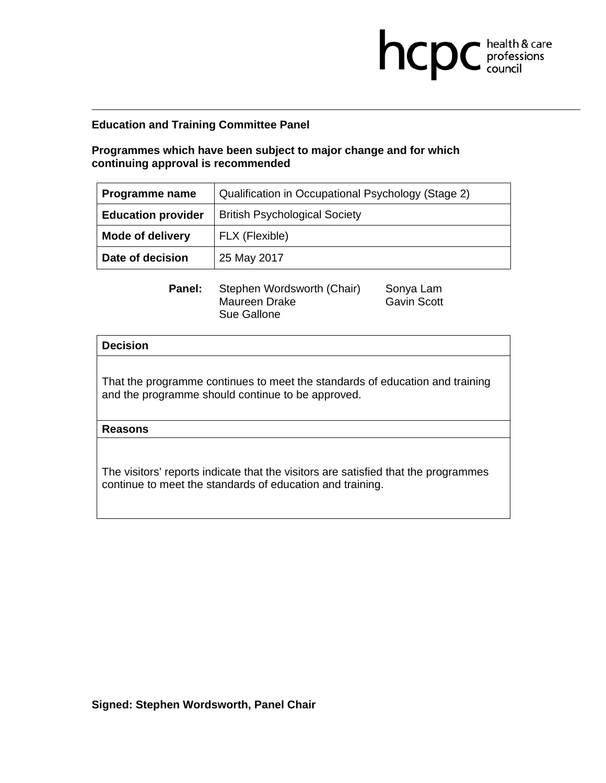# **Programmes which have been subject to major change and for which continuing approval is recommended**

| <b>Programme name</b>     | Qualification in Occupational Psychology (Stage 2) |
|---------------------------|----------------------------------------------------|
| <b>Education provider</b> | <b>British Psychological Society</b>               |
| <b>Mode of delivery</b>   | FLX (Flexible)                                     |
| Date of decision          | 25 May 2017                                        |

**Panel:** Stephen Wordsworth (Chair) Sonya Lam Maureen Drake Gavin Scott Sue Gallone

**health & care** 

## **Decision**

That the programme continues to meet the standards of education and training and the programme should continue to be approved.

**Reasons**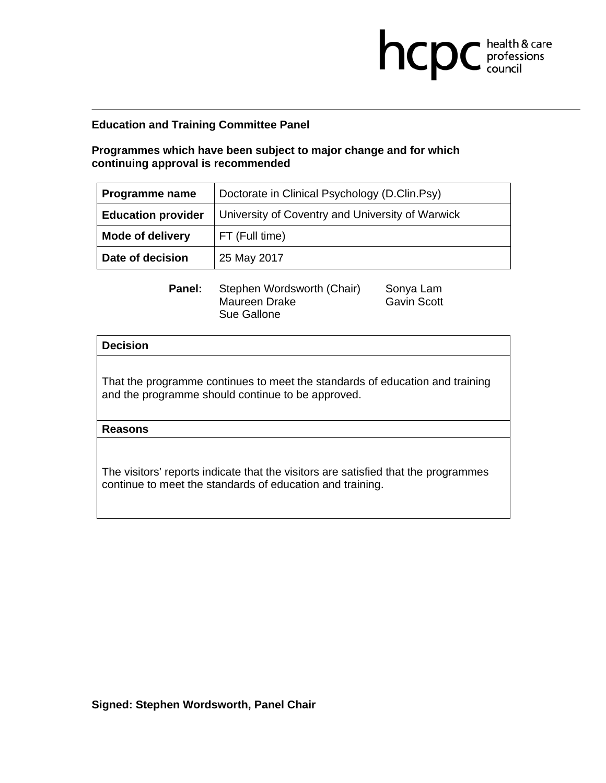# **Programmes which have been subject to major change and for which continuing approval is recommended**

| Programme name                                                                | Doctorate in Clinical Psychology (D.Clin.Psy) |
|-------------------------------------------------------------------------------|-----------------------------------------------|
| <b>Education provider</b><br>University of Coventry and University of Warwick |                                               |
| <b>Mode of delivery</b>                                                       | FT (Full time)                                |
| Date of decision                                                              | 25 May 2017                                   |

**Panel:** Stephen Wordsworth (Chair) Sonya Lam Maureen Drake Gavin Scott Sue Gallone

**health & care** 

## **Decision**

That the programme continues to meet the standards of education and training and the programme should continue to be approved.

**Reasons**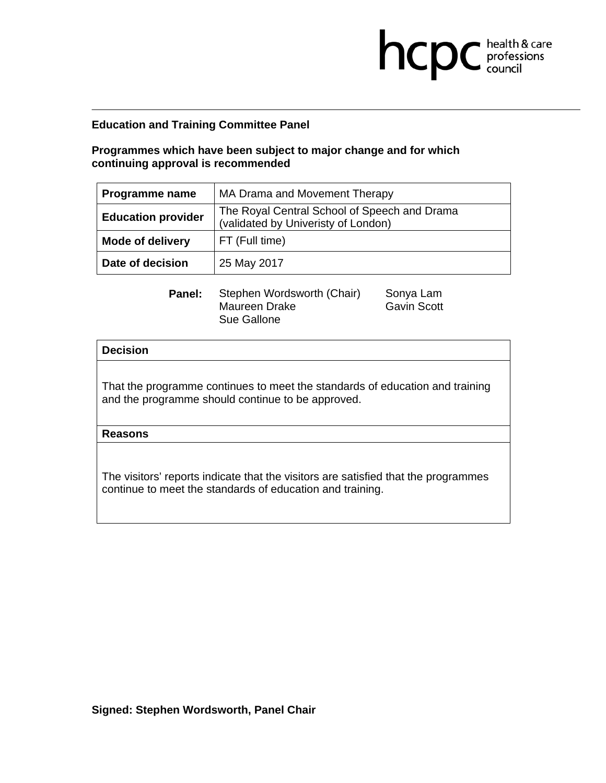# **Programmes which have been subject to major change and for which continuing approval is recommended**

| Programme name            | MA Drama and Movement Therapy                                                       |
|---------------------------|-------------------------------------------------------------------------------------|
| <b>Education provider</b> | The Royal Central School of Speech and Drama<br>(validated by Univeristy of London) |
| <b>Mode of delivery</b>   | FT (Full time)                                                                      |
| Date of decision          | 25 May 2017                                                                         |

| Panel: | Stephen Wordsworth (Chair) | Sonya Lam          |
|--------|----------------------------|--------------------|
|        | Maureen Drake              | <b>Gavin Scott</b> |
|        | Sue Gallone                |                    |

**Bavin Scott** 

**health & care** 

## **Decision**

That the programme continues to meet the standards of education and training and the programme should continue to be approved.

## **Reasons**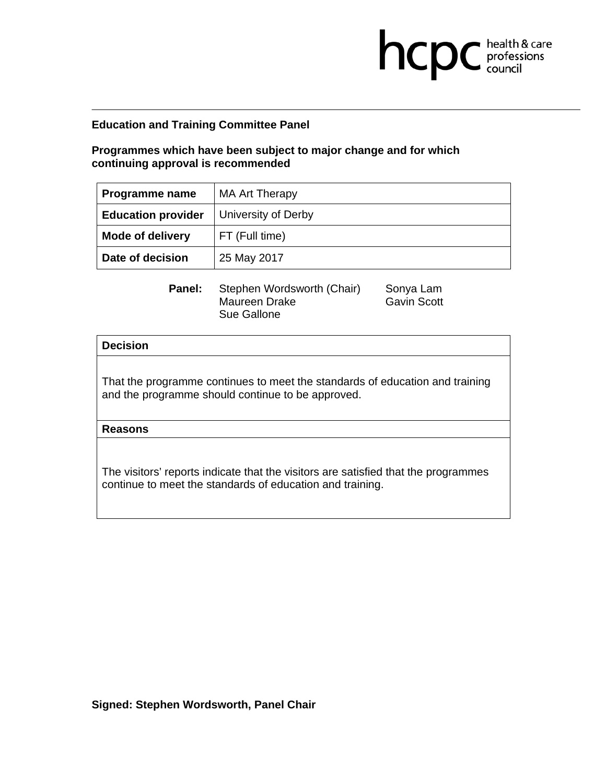**Programmes which have been subject to major change and for which continuing approval is recommended** 

| Programme name            | <b>MA Art Therapy</b> |
|---------------------------|-----------------------|
| <b>Education provider</b> | University of Derby   |
| <b>Mode of delivery</b>   | FT (Full time)        |
| Date of decision          | 25 May 2017           |

**Panel:** Stephen Wordsworth (Chair) Sonya Lam Maureen Drake Gavin Scott Sue Gallone

**health & care** 

## **Decision**

That the programme continues to meet the standards of education and training and the programme should continue to be approved.

**Reasons**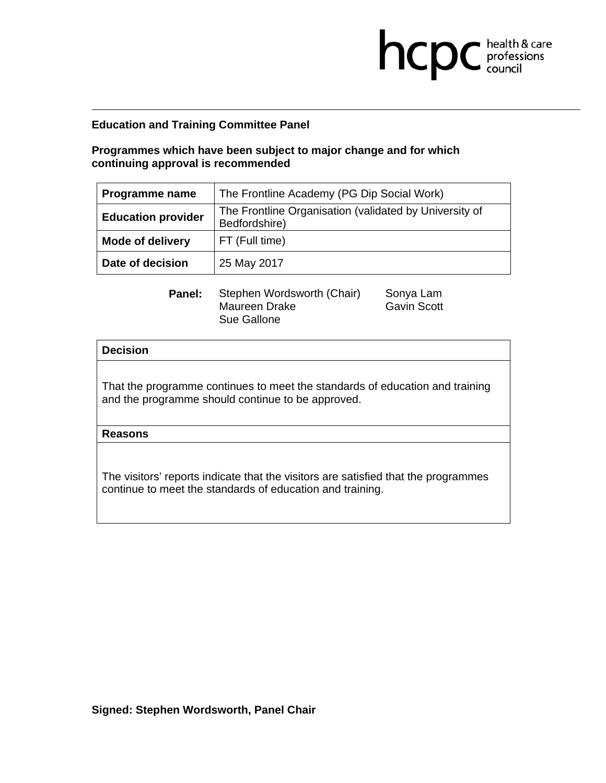# **Programmes which have been subject to major change and for which continuing approval is recommended**

| Programme name            | The Frontline Academy (PG Dip Social Work)                              |
|---------------------------|-------------------------------------------------------------------------|
| <b>Education provider</b> | The Frontline Organisation (validated by University of<br>Bedfordshire) |
| <b>Mode of delivery</b>   | FT (Full time)                                                          |
| Date of decision          | 25 May 2017                                                             |

| Panel: | Stephen Wordsworth (Chair) | Sonya Lam          |
|--------|----------------------------|--------------------|
|        | Maureen Drake              | <b>Gavin Scott</b> |
|        | Sue Gallone                |                    |

Gavin Scott

**health & care** 

## **Decision**

That the programme continues to meet the standards of education and training and the programme should continue to be approved.

## **Reasons**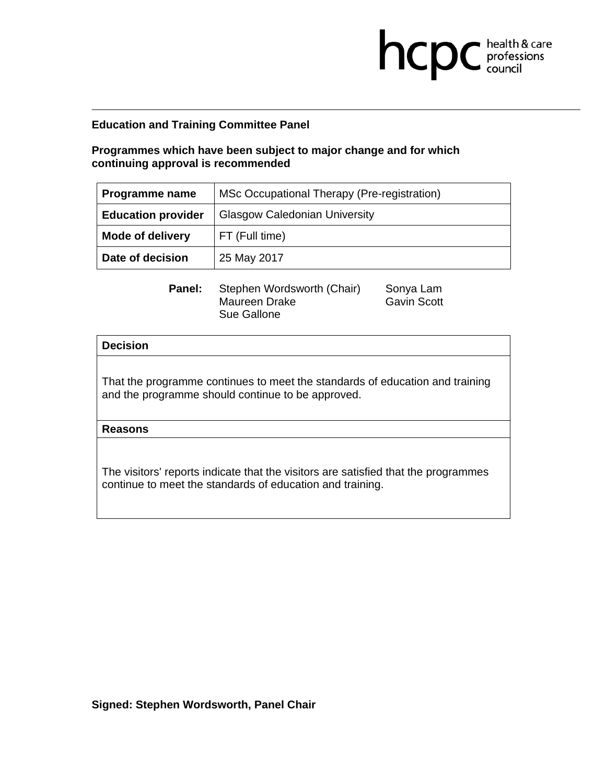# **Programmes which have been subject to major change and for which continuing approval is recommended**

| Programme name            | MSc Occupational Therapy (Pre-registration) |
|---------------------------|---------------------------------------------|
| <b>Education provider</b> | <b>Glasgow Caledonian University</b>        |
| <b>Mode of delivery</b>   | FT (Full time)                              |
| Date of decision          | 25 May 2017                                 |

**Panel:** Stephen Wordsworth (Chair) Sonya Lam Maureen Drake Gavin Scott Sue Gallone

**health & care** 

## **Decision**

That the programme continues to meet the standards of education and training and the programme should continue to be approved.

**Reasons**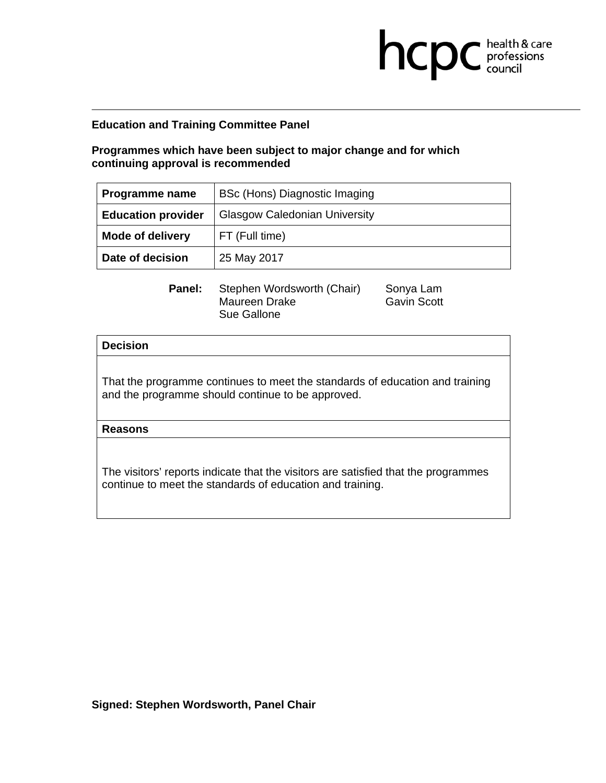**Programmes which have been subject to major change and for which continuing approval is recommended** 

| <b>Programme name</b>     | BSc (Hons) Diagnostic Imaging        |
|---------------------------|--------------------------------------|
| <b>Education provider</b> | <b>Glasgow Caledonian University</b> |
| <b>Mode of delivery</b>   | FT (Full time)                       |
| Date of decision          | 25 May 2017                          |

**Panel:** Stephen Wordsworth (Chair) Sonya Lam Maureen Drake Gavin Scott Sue Gallone

**health & care** 

## **Decision**

That the programme continues to meet the standards of education and training and the programme should continue to be approved.

**Reasons**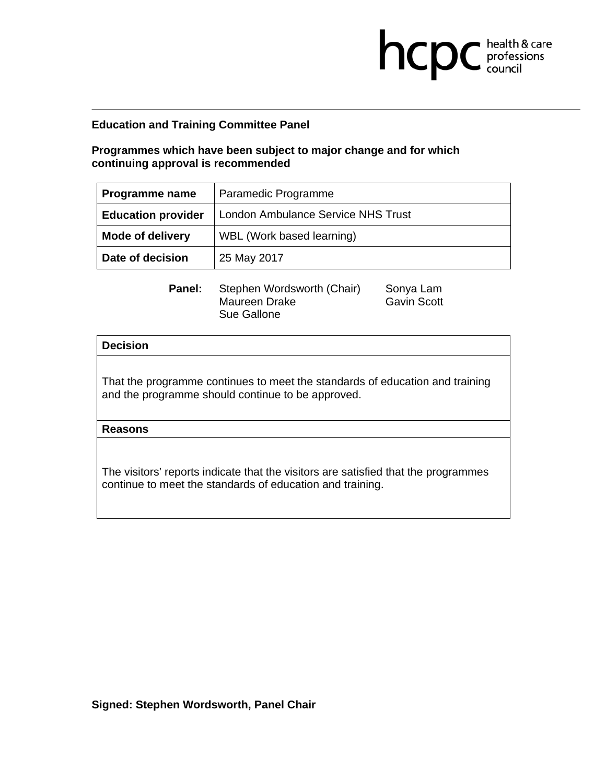**Programmes which have been subject to major change and for which continuing approval is recommended** 

| Programme name            | Paramedic Programme                       |
|---------------------------|-------------------------------------------|
| <b>Education provider</b> | <b>London Ambulance Service NHS Trust</b> |
| <b>Mode of delivery</b>   | WBL (Work based learning)                 |
| Date of decision          | 25 May 2017                               |

**health & care** 

**Panel:** Stephen Wordsworth (Chair) Sonya Lam Maureen Drake Gavin Scott Sue Gallone

## **Decision**

That the programme continues to meet the standards of education and training and the programme should continue to be approved.

**Reasons**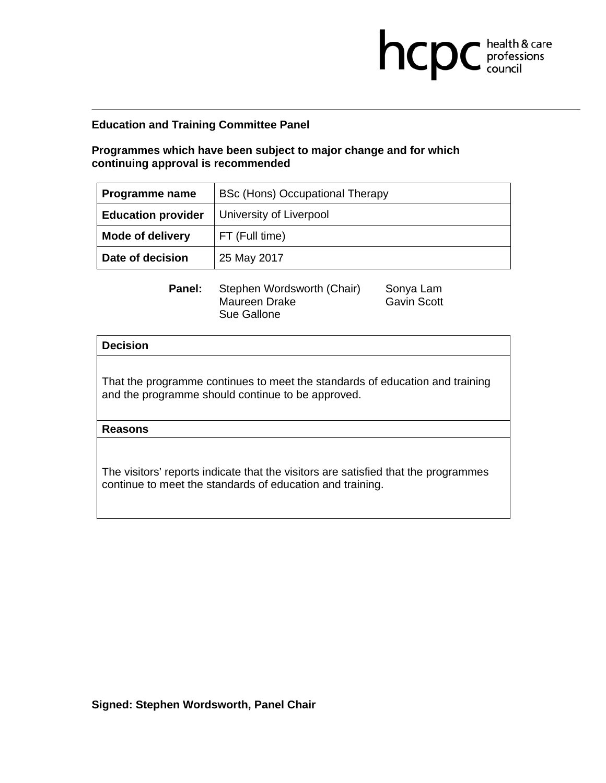**Programmes which have been subject to major change and for which continuing approval is recommended** 

| Programme name            | BSc (Hons) Occupational Therapy |
|---------------------------|---------------------------------|
| <b>Education provider</b> | University of Liverpool         |
| <b>Mode of delivery</b>   | FT (Full time)                  |
| Date of decision          | 25 May 2017                     |

**Panel:** Stephen Wordsworth (Chair) Sonya Lam Maureen Drake Gavin Scott Sue Gallone

**health & care** 

## **Decision**

That the programme continues to meet the standards of education and training and the programme should continue to be approved.

**Reasons**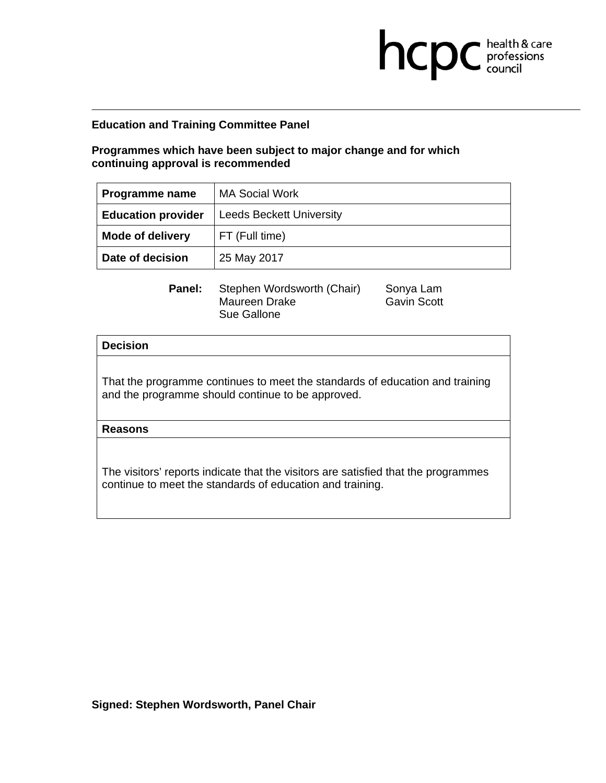**Programmes which have been subject to major change and for which continuing approval is recommended** 

| Programme name            | <b>MA Social Work</b>           |
|---------------------------|---------------------------------|
| <b>Education provider</b> | <b>Leeds Beckett University</b> |
| <b>Mode of delivery</b>   | FT (Full time)                  |
| Date of decision          | 25 May 2017                     |

**Panel:** Stephen Wordsworth (Chair) Sonya Lam Maureen Drake Gavin Scott Sue Gallone

**health & care** 

## **Decision**

That the programme continues to meet the standards of education and training and the programme should continue to be approved.

**Reasons**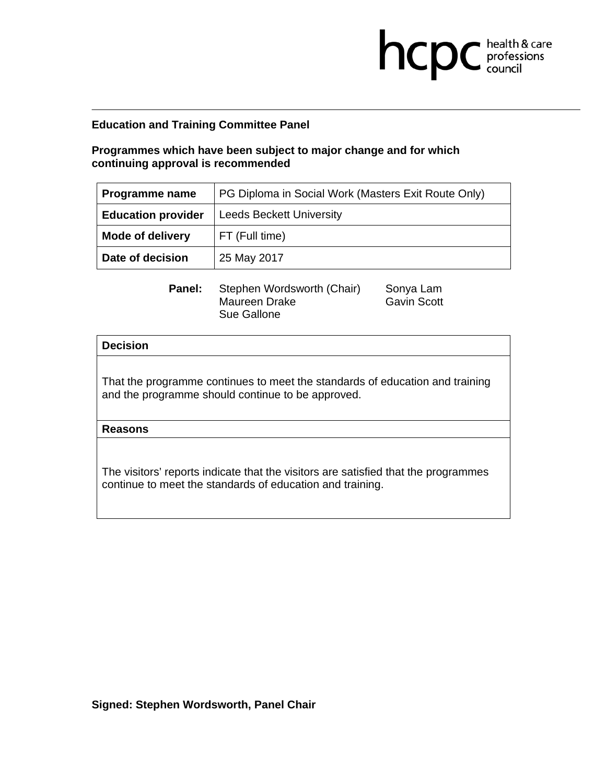# **Programmes which have been subject to major change and for which continuing approval is recommended**

| Programme name            | PG Diploma in Social Work (Masters Exit Route Only) |
|---------------------------|-----------------------------------------------------|
| <b>Education provider</b> | <b>Leeds Beckett University</b>                     |
| <b>Mode of delivery</b>   | FT (Full time)                                      |
| Date of decision          | 25 May 2017                                         |

**Panel:** Stephen Wordsworth (Chair) Sonya Lam Maureen Drake Gavin Scott Sue Gallone

**health & care** 

## **Decision**

That the programme continues to meet the standards of education and training and the programme should continue to be approved.

**Reasons** 

The visitors' reports indicate that the visitors are satisfied that the programmes continue to meet the standards of education and training.

**Signed: Stephen Wordsworth, Panel Chair**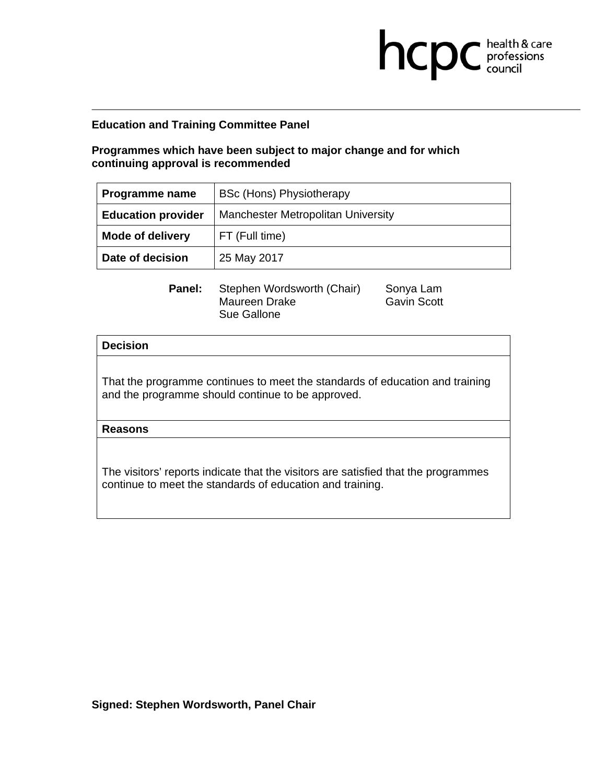**Programmes which have been subject to major change and for which continuing approval is recommended** 

| Programme name            | BSc (Hons) Physiotherapy                  |
|---------------------------|-------------------------------------------|
| <b>Education provider</b> | <b>Manchester Metropolitan University</b> |
| <b>Mode of delivery</b>   | FT (Full time)                            |
| Date of decision          | 25 May 2017                               |

**Panel:** Stephen Wordsworth (Chair) Sonya Lam Maureen Drake Gavin Scott Sue Gallone

**health & care** 

## **Decision**

That the programme continues to meet the standards of education and training and the programme should continue to be approved.

**Reasons**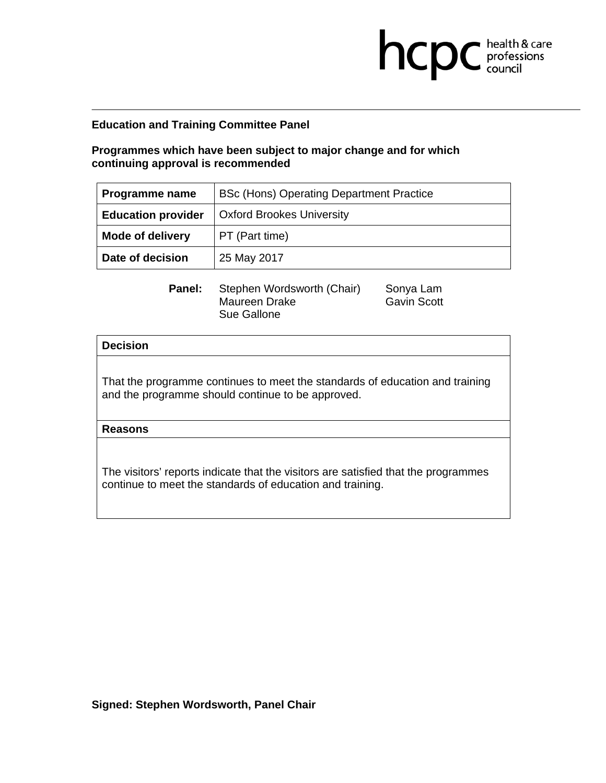**Programmes which have been subject to major change and for which continuing approval is recommended** 

| Programme name            | <b>BSc (Hons) Operating Department Practice</b> |
|---------------------------|-------------------------------------------------|
| <b>Education provider</b> | <b>Oxford Brookes University</b>                |
| <b>Mode of delivery</b>   | PT (Part time)                                  |
| Date of decision          | 25 May 2017                                     |

**Panel:** Stephen Wordsworth (Chair) Sonya Lam Maureen Drake Gavin Scott Sue Gallone

**health & care** 

## **Decision**

That the programme continues to meet the standards of education and training and the programme should continue to be approved.

**Reasons**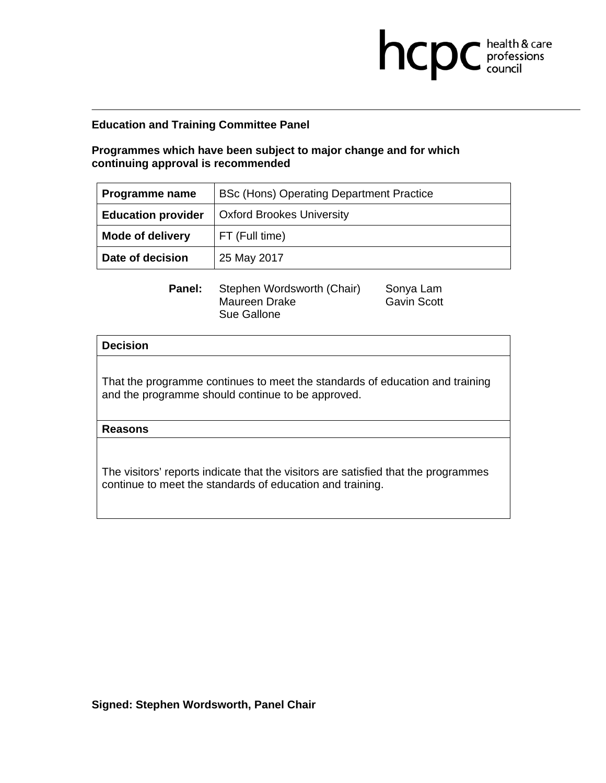**Programmes which have been subject to major change and for which continuing approval is recommended** 

| Programme name            | BSc (Hons) Operating Department Practice |
|---------------------------|------------------------------------------|
| <b>Education provider</b> | <b>Oxford Brookes University</b>         |
| <b>Mode of delivery</b>   | FT (Full time)                           |
| Date of decision          | 25 May 2017                              |

**Panel:** Stephen Wordsworth (Chair) Sonya Lam Maureen Drake Gavin Scott Sue Gallone

**health & care** 

## **Decision**

That the programme continues to meet the standards of education and training and the programme should continue to be approved.

**Reasons**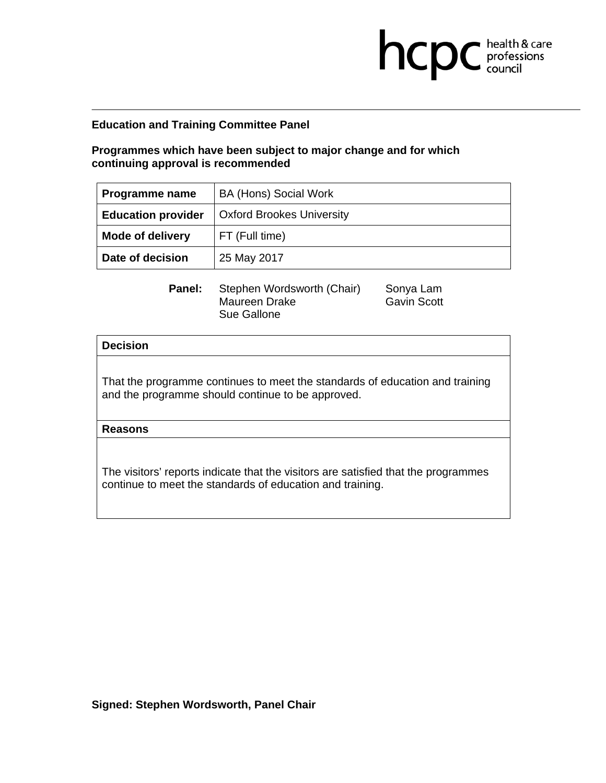**Programmes which have been subject to major change and for which continuing approval is recommended** 

| Programme name            | <b>BA (Hons) Social Work</b>     |
|---------------------------|----------------------------------|
| <b>Education provider</b> | <b>Oxford Brookes University</b> |
| <b>Mode of delivery</b>   | FT (Full time)                   |
| Date of decision          | 25 May 2017                      |

**Panel:** Stephen Wordsworth (Chair) Sonya Lam Maureen Drake Gavin Scott Sue Gallone

**health & care** 

## **Decision**

That the programme continues to meet the standards of education and training and the programme should continue to be approved.

**Reasons**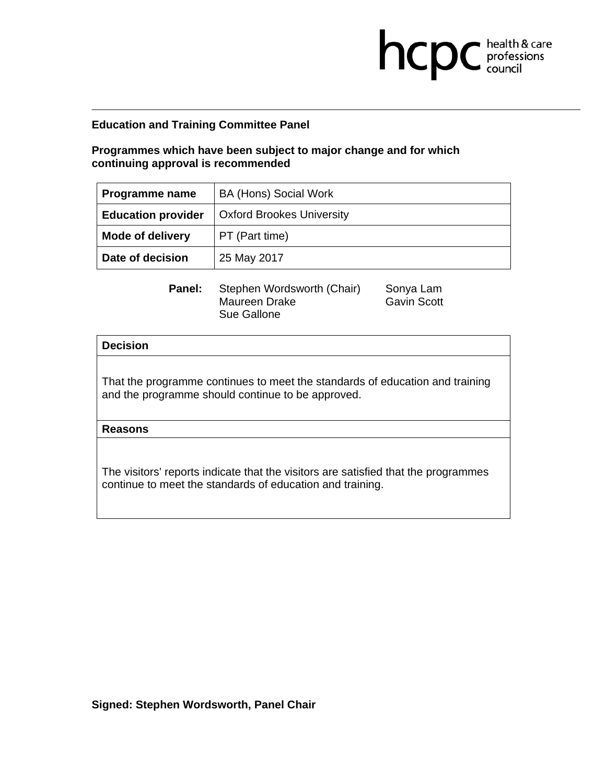**Programmes which have been subject to major change and for which continuing approval is recommended** 

| Programme name            | <b>BA (Hons) Social Work</b>     |
|---------------------------|----------------------------------|
| <b>Education provider</b> | <b>Oxford Brookes University</b> |
| <b>Mode of delivery</b>   | PT (Part time)                   |
| Date of decision          | 25 May 2017                      |

**Panel:** Stephen Wordsworth (Chair) Sonya Lam Maureen Drake Gavin Scott Sue Gallone

**health & care** 

## **Decision**

That the programme continues to meet the standards of education and training and the programme should continue to be approved.

**Reasons**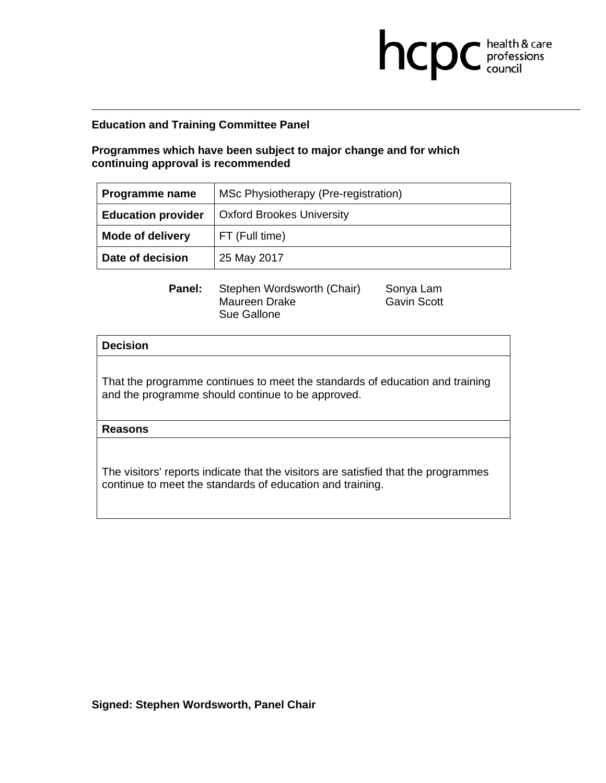**Programmes which have been subject to major change and for which continuing approval is recommended** 

| Programme name            | MSc Physiotherapy (Pre-registration) |
|---------------------------|--------------------------------------|
| <b>Education provider</b> | <b>Oxford Brookes University</b>     |
| <b>Mode of delivery</b>   | FT (Full time)                       |
| Date of decision          | 25 May 2017                          |

**Panel:** Stephen Wordsworth (Chair) Sonya Lam Maureen Drake Gavin Scott Sue Gallone

**health & care** 

## **Decision**

That the programme continues to meet the standards of education and training and the programme should continue to be approved.

**Reasons**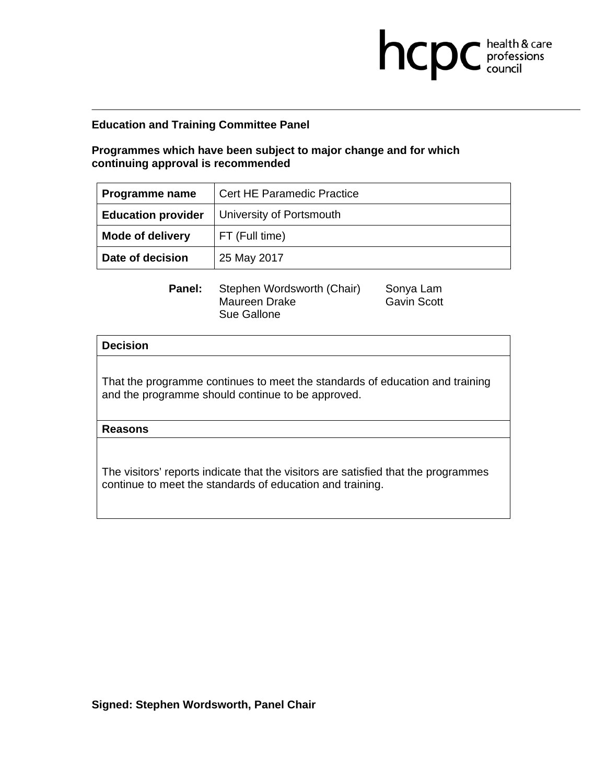**Programmes which have been subject to major change and for which continuing approval is recommended** 

| Programme name            | <b>Cert HE Paramedic Practice</b> |
|---------------------------|-----------------------------------|
| <b>Education provider</b> | University of Portsmouth          |
| <b>Mode of delivery</b>   | FT (Full time)                    |
| Date of decision          | 25 May 2017                       |

**Panel:** Stephen Wordsworth (Chair) Sonya Lam Maureen Drake Gavin Scott Sue Gallone

**health & care** 

## **Decision**

That the programme continues to meet the standards of education and training and the programme should continue to be approved.

**Reasons**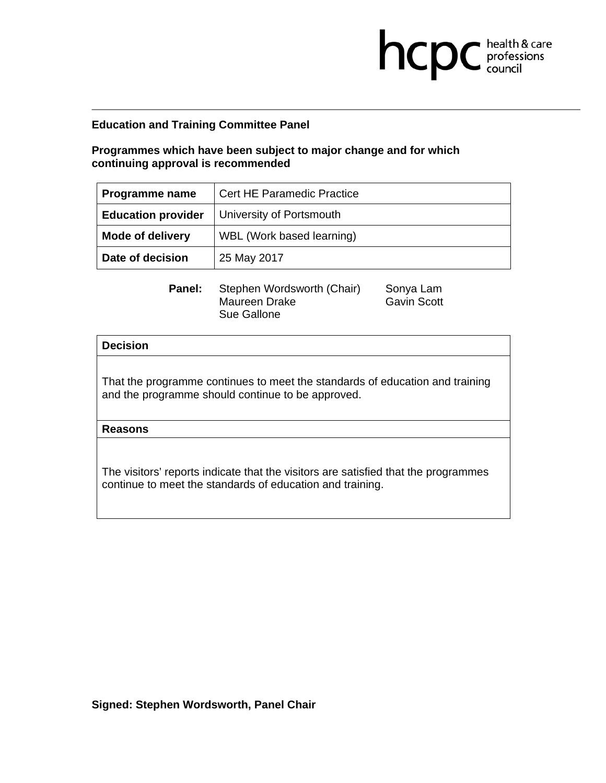**Programmes which have been subject to major change and for which continuing approval is recommended** 

| <b>Programme name</b>     | <b>Cert HE Paramedic Practice</b> |
|---------------------------|-----------------------------------|
| <b>Education provider</b> | University of Portsmouth          |
| <b>Mode of delivery</b>   | WBL (Work based learning)         |
| Date of decision          | 25 May 2017                       |

**Panel:** Stephen Wordsworth (Chair) Sonya Lam Maureen Drake Gavin Scott Sue Gallone

**health & care** 

## **Decision**

That the programme continues to meet the standards of education and training and the programme should continue to be approved.

**Reasons**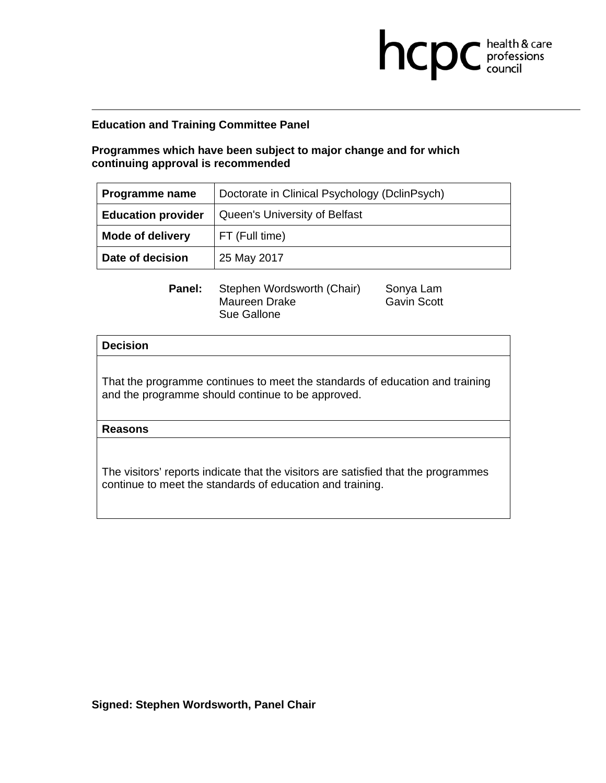# **Programmes which have been subject to major change and for which continuing approval is recommended**

| Programme name            | Doctorate in Clinical Psychology (DclinPsych) |
|---------------------------|-----------------------------------------------|
| <b>Education provider</b> | Queen's University of Belfast                 |
| <b>Mode of delivery</b>   | FT (Full time)                                |
| Date of decision          | 25 May 2017                                   |

**Panel:** Stephen Wordsworth (Chair) Sonya Lam Maureen Drake Gavin Scott Sue Gallone

**health & care** 

## **Decision**

That the programme continues to meet the standards of education and training and the programme should continue to be approved.

**Reasons**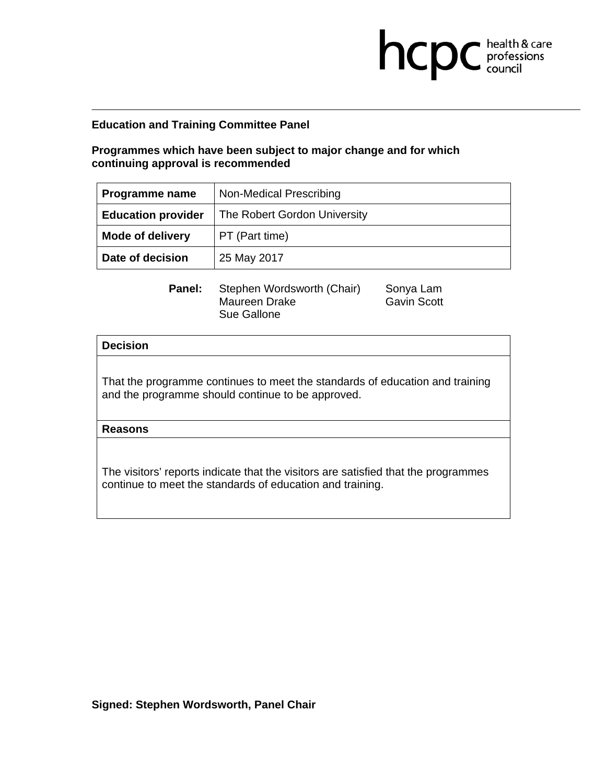**Programmes which have been subject to major change and for which continuing approval is recommended** 

| Programme name            | Non-Medical Prescribing      |
|---------------------------|------------------------------|
| <b>Education provider</b> | The Robert Gordon University |
| <b>Mode of delivery</b>   | PT (Part time)               |
| Date of decision          | 25 May 2017                  |

**Panel:** Stephen Wordsworth (Chair) Sonya Lam Maureen Drake Gavin Scott Sue Gallone

**health & care** 

## **Decision**

That the programme continues to meet the standards of education and training and the programme should continue to be approved.

**Reasons**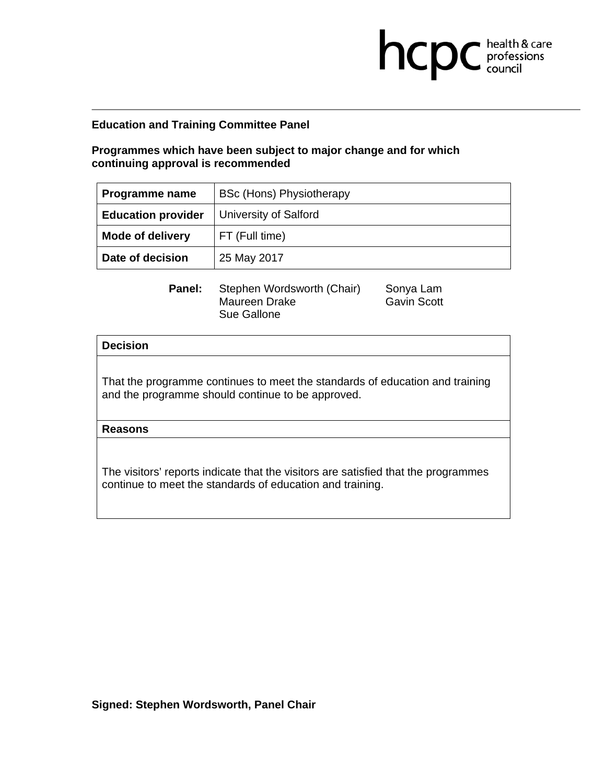**Programmes which have been subject to major change and for which continuing approval is recommended** 

| Programme name            | BSc (Hons) Physiotherapy |
|---------------------------|--------------------------|
| <b>Education provider</b> | University of Salford    |
| <b>Mode of delivery</b>   | FT (Full time)           |
| Date of decision          | 25 May 2017              |

**Panel:** Stephen Wordsworth (Chair) Sonya Lam Maureen Drake Gavin Scott Sue Gallone

**health & care** 

## **Decision**

That the programme continues to meet the standards of education and training and the programme should continue to be approved.

**Reasons**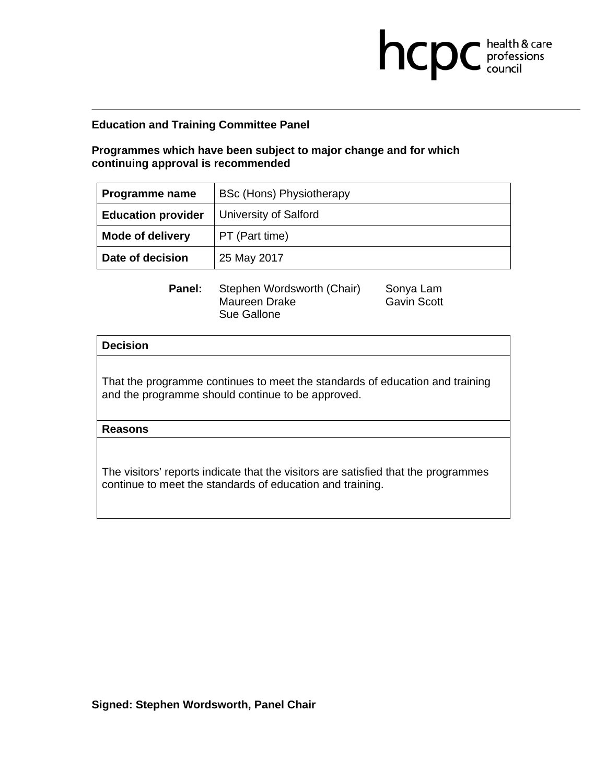**Programmes which have been subject to major change and for which continuing approval is recommended** 

| Programme name            | BSc (Hons) Physiotherapy |
|---------------------------|--------------------------|
| <b>Education provider</b> | University of Salford    |
| <b>Mode of delivery</b>   | PT (Part time)           |
| Date of decision          | 25 May 2017              |

**Panel:** Stephen Wordsworth (Chair) Sonya Lam Maureen Drake Gavin Scott Sue Gallone

**health & care** 

## **Decision**

That the programme continues to meet the standards of education and training and the programme should continue to be approved.

**Reasons**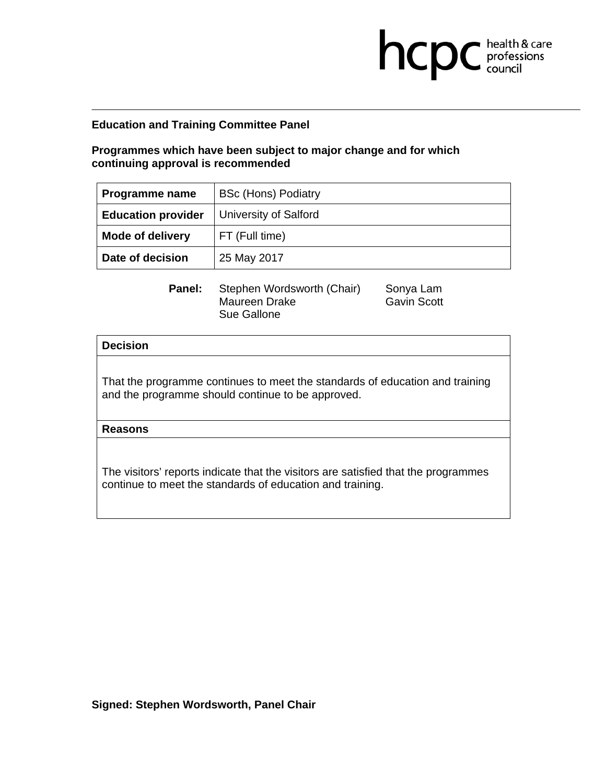**Programmes which have been subject to major change and for which continuing approval is recommended** 

| Programme name            | <b>BSc (Hons) Podiatry</b> |
|---------------------------|----------------------------|
| <b>Education provider</b> | University of Salford      |
| <b>Mode of delivery</b>   | FT (Full time)             |
| Date of decision          | 25 May 2017                |

**Panel:** Stephen Wordsworth (Chair) Sonya Lam Maureen Drake Gavin Scott Sue Gallone

**health & care** 

## **Decision**

That the programme continues to meet the standards of education and training and the programme should continue to be approved.

**Reasons**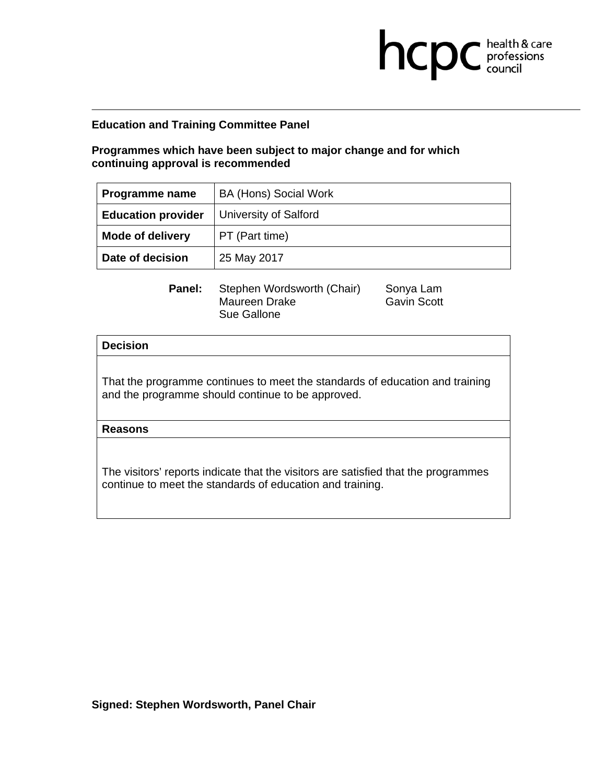**Programmes which have been subject to major change and for which continuing approval is recommended** 

| Programme name            | <b>BA (Hons) Social Work</b> |
|---------------------------|------------------------------|
| <b>Education provider</b> | University of Salford        |
| <b>Mode of delivery</b>   | PT (Part time)               |
| Date of decision          | 25 May 2017                  |

**Panel:** Stephen Wordsworth (Chair) Sonya Lam Maureen Drake Gavin Scott Sue Gallone

**health & care** 

## **Decision**

That the programme continues to meet the standards of education and training and the programme should continue to be approved.

**Reasons**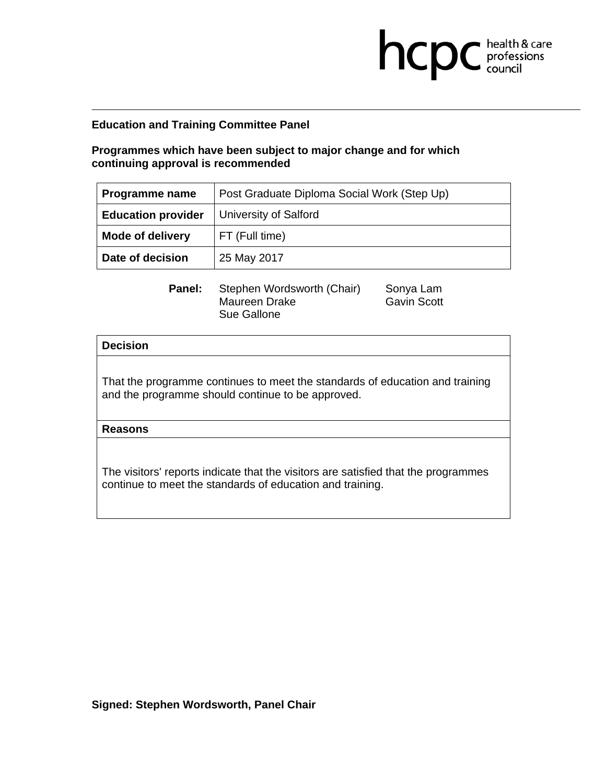# **Programmes which have been subject to major change and for which continuing approval is recommended**

| Programme name            | Post Graduate Diploma Social Work (Step Up) |
|---------------------------|---------------------------------------------|
| <b>Education provider</b> | <b>University of Salford</b>                |
| <b>Mode of delivery</b>   | FT (Full time)                              |
| Date of decision          | 25 May 2017                                 |

**Panel:** Stephen Wordsworth (Chair) Sonya Lam Maureen Drake Gavin Scott Sue Gallone

**health & care** 

## **Decision**

That the programme continues to meet the standards of education and training and the programme should continue to be approved.

**Reasons**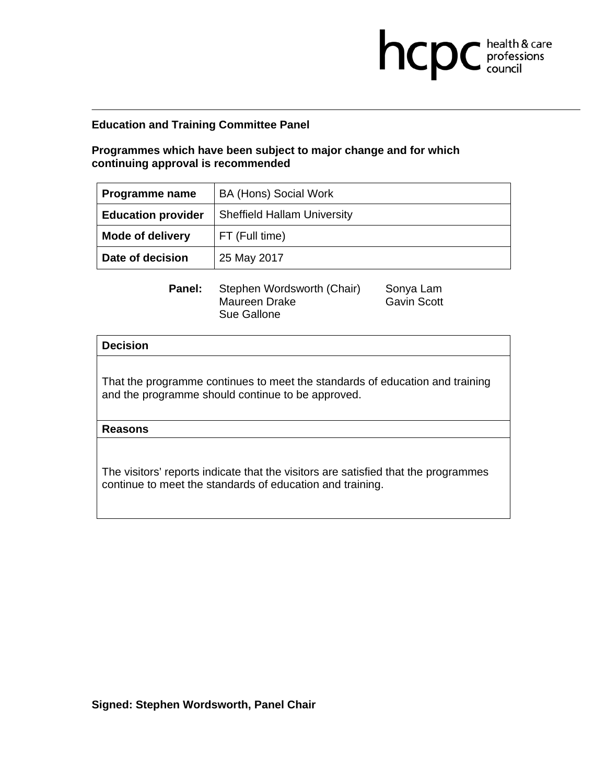**Programmes which have been subject to major change and for which continuing approval is recommended** 

| Programme name            | <b>BA (Hons) Social Work</b>       |
|---------------------------|------------------------------------|
| <b>Education provider</b> | <b>Sheffield Hallam University</b> |
| <b>Mode of delivery</b>   | FT (Full time)                     |
| Date of decision          | 25 May 2017                        |

**Panel:** Stephen Wordsworth (Chair) Sonya Lam Maureen Drake Gavin Scott Sue Gallone

**health & care** 

## **Decision**

That the programme continues to meet the standards of education and training and the programme should continue to be approved.

**Reasons**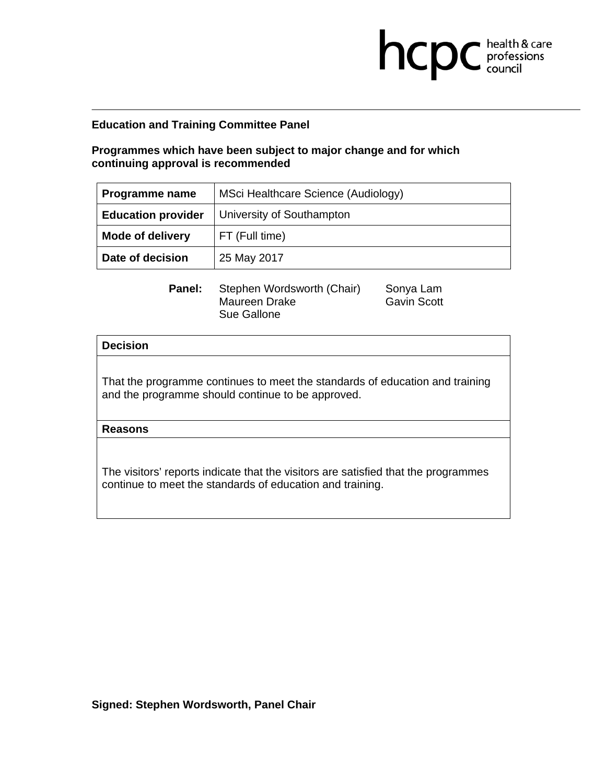**Programmes which have been subject to major change and for which continuing approval is recommended** 

| <b>Programme name</b>     | MSci Healthcare Science (Audiology) |
|---------------------------|-------------------------------------|
| <b>Education provider</b> | University of Southampton           |
| <b>Mode of delivery</b>   | FT (Full time)                      |
| Date of decision          | 25 May 2017                         |

**Panel:** Stephen Wordsworth (Chair) Sonya Lam Maureen Drake Gavin Scott Sue Gallone

**health & care** 

## **Decision**

That the programme continues to meet the standards of education and training and the programme should continue to be approved.

**Reasons**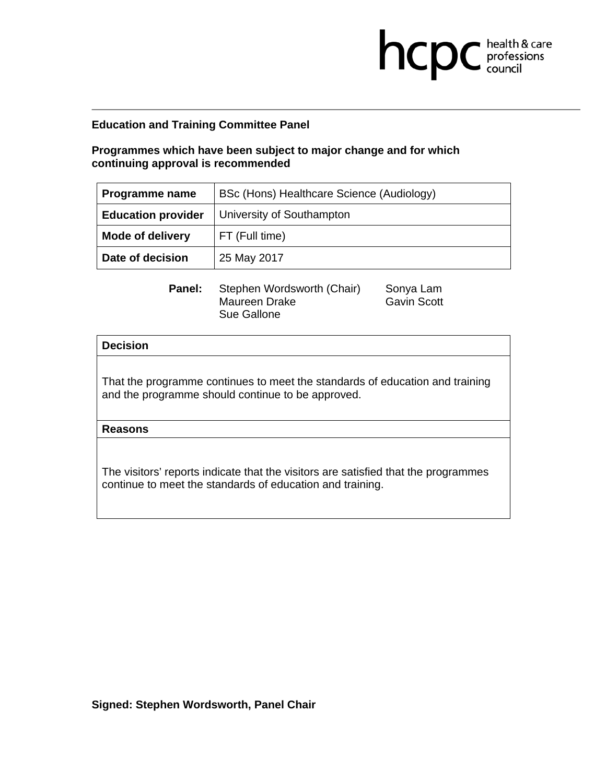# **Programmes which have been subject to major change and for which continuing approval is recommended**

| Programme name            | BSc (Hons) Healthcare Science (Audiology) |
|---------------------------|-------------------------------------------|
| <b>Education provider</b> | University of Southampton                 |
| <b>Mode of delivery</b>   | FT (Full time)                            |
| Date of decision          | 25 May 2017                               |

**Panel:** Stephen Wordsworth (Chair) Sonya Lam Maureen Drake Gavin Scott Sue Gallone

**health & care** 

## **Decision**

That the programme continues to meet the standards of education and training and the programme should continue to be approved.

**Reasons**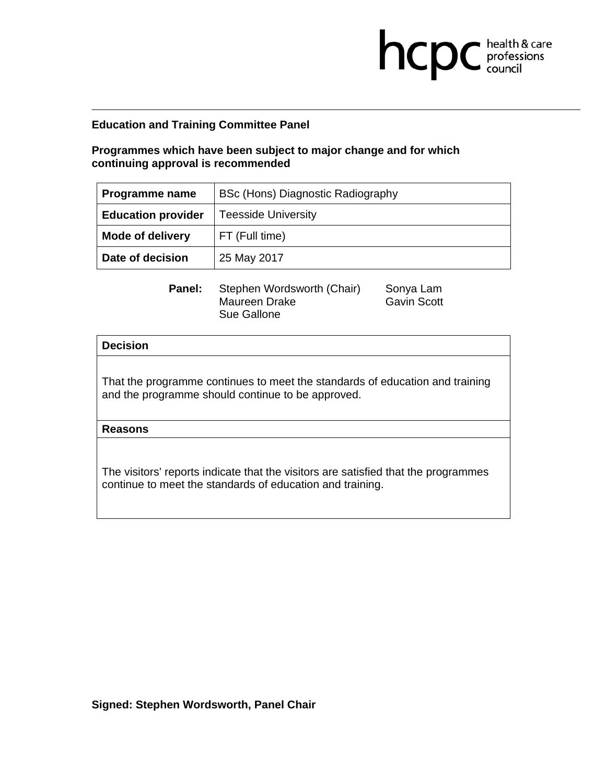**Programmes which have been subject to major change and for which continuing approval is recommended** 

| <b>Programme name</b>     | BSc (Hons) Diagnostic Radiography |
|---------------------------|-----------------------------------|
| <b>Education provider</b> | <b>Teesside University</b>        |
| <b>Mode of delivery</b>   | FT (Full time)                    |
| Date of decision          | 25 May 2017                       |

**Panel:** Stephen Wordsworth (Chair) Sonya Lam Maureen Drake Gavin Scott Sue Gallone

**health & care** 

## **Decision**

That the programme continues to meet the standards of education and training and the programme should continue to be approved.

**Reasons**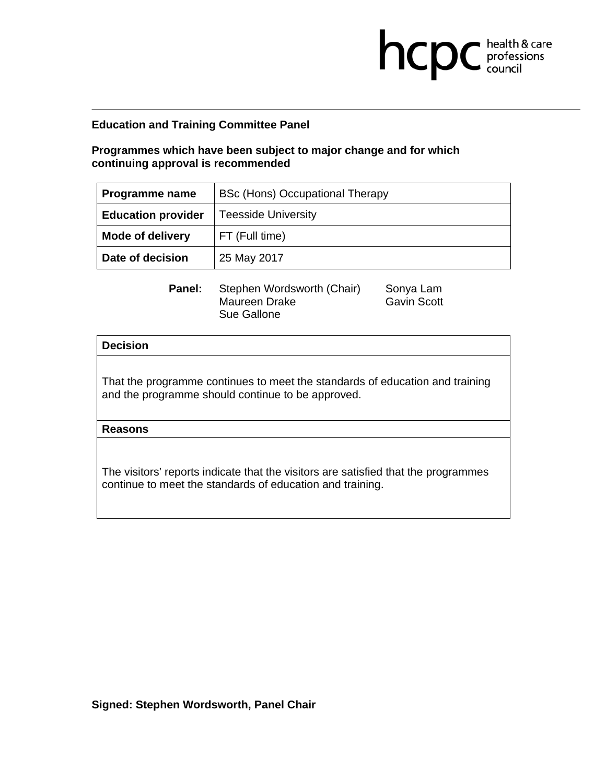**Programmes which have been subject to major change and for which continuing approval is recommended** 

| Programme name            | BSc (Hons) Occupational Therapy |
|---------------------------|---------------------------------|
| <b>Education provider</b> | <b>Teesside University</b>      |
| <b>Mode of delivery</b>   | FT (Full time)                  |
| Date of decision          | 25 May 2017                     |

**Panel:** Stephen Wordsworth (Chair) Sonya Lam Maureen Drake Gavin Scott Sue Gallone

**health & care** 

## **Decision**

That the programme continues to meet the standards of education and training and the programme should continue to be approved.

**Reasons**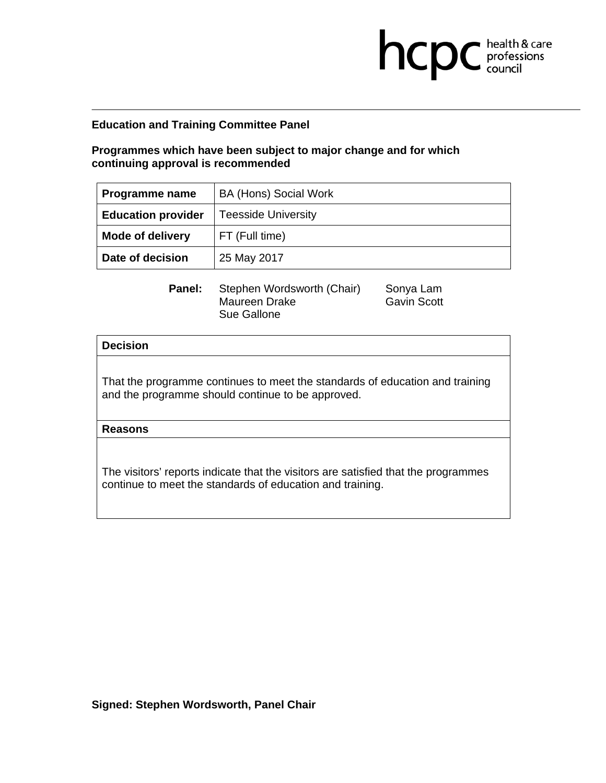**Programmes which have been subject to major change and for which continuing approval is recommended** 

| Programme name            | <b>BA (Hons) Social Work</b> |
|---------------------------|------------------------------|
| <b>Education provider</b> | <b>Teesside University</b>   |
| <b>Mode of delivery</b>   | FT (Full time)               |
| Date of decision          | 25 May 2017                  |

**Panel:** Stephen Wordsworth (Chair) Sonya Lam Maureen Drake Gavin Scott Sue Gallone

**health & care** 

## **Decision**

That the programme continues to meet the standards of education and training and the programme should continue to be approved.

**Reasons**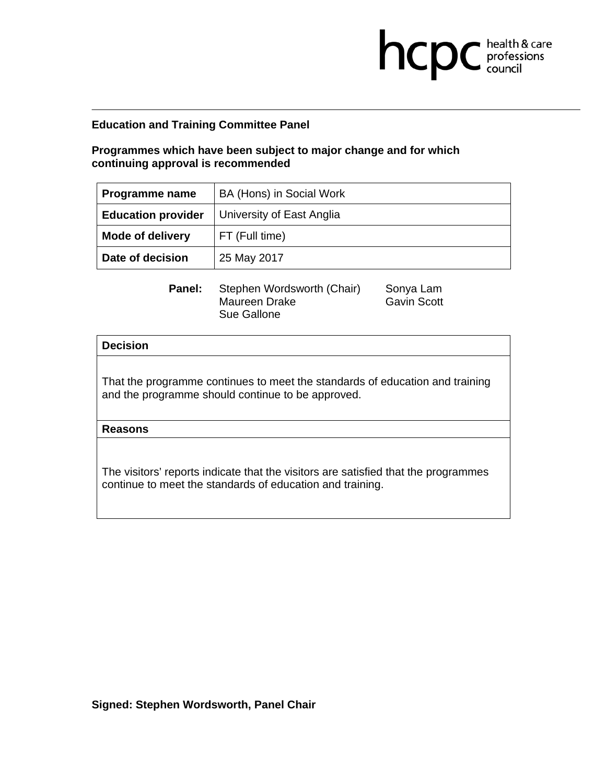**Programmes which have been subject to major change and for which continuing approval is recommended** 

| Programme name            | BA (Hons) in Social Work  |
|---------------------------|---------------------------|
| <b>Education provider</b> | University of East Anglia |
| <b>Mode of delivery</b>   | FT (Full time)            |
| Date of decision          | 25 May 2017               |

**Panel:** Stephen Wordsworth (Chair) Sonya Lam Maureen Drake Gavin Scott Sue Gallone

**health & care** 

## **Decision**

That the programme continues to meet the standards of education and training and the programme should continue to be approved.

**Reasons**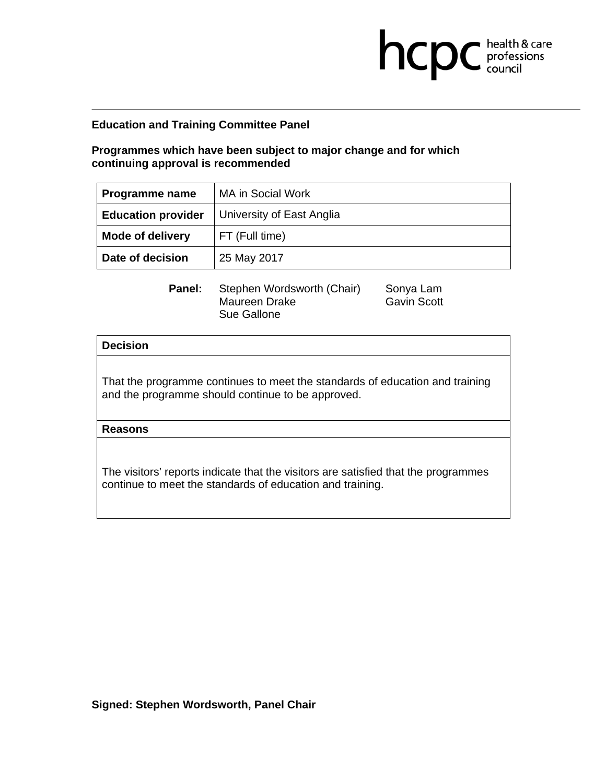**Programmes which have been subject to major change and for which continuing approval is recommended** 

| Programme name            | MA in Social Work         |
|---------------------------|---------------------------|
| <b>Education provider</b> | University of East Anglia |
| <b>Mode of delivery</b>   | FT (Full time)            |
| Date of decision          | 25 May 2017               |

**Panel:** Stephen Wordsworth (Chair) Sonya Lam Maureen Drake Gavin Scott Sue Gallone

**health & care** 

## **Decision**

That the programme continues to meet the standards of education and training and the programme should continue to be approved.

**Reasons**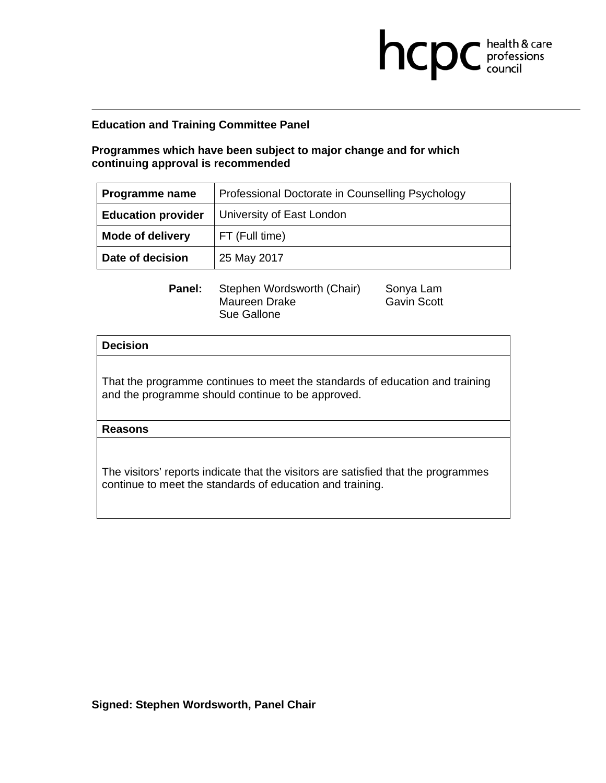# **Programmes which have been subject to major change and for which continuing approval is recommended**

| <b>Programme name</b>     | Professional Doctorate in Counselling Psychology |
|---------------------------|--------------------------------------------------|
| <b>Education provider</b> | University of East London                        |
| <b>Mode of delivery</b>   | FT (Full time)                                   |
| Date of decision          | 25 May 2017                                      |

**Panel:** Stephen Wordsworth (Chair) Sonya Lam Maureen Drake Gavin Scott Sue Gallone

**health & care** 

## **Decision**

That the programme continues to meet the standards of education and training and the programme should continue to be approved.

**Reasons**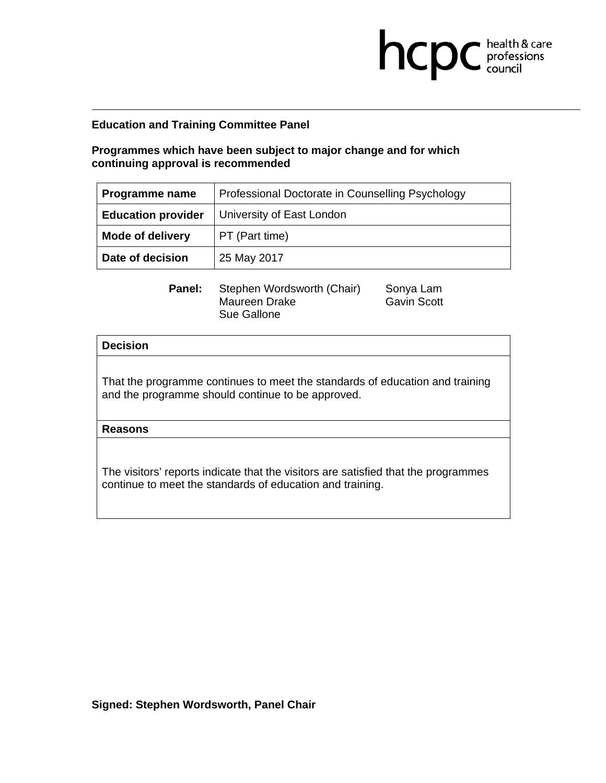# **Programmes which have been subject to major change and for which continuing approval is recommended**

| Programme name            | Professional Doctorate in Counselling Psychology |
|---------------------------|--------------------------------------------------|
| <b>Education provider</b> | University of East London                        |
| <b>Mode of delivery</b>   | PT (Part time)                                   |
| Date of decision          | 25 May 2017                                      |

**Panel:** Stephen Wordsworth (Chair) Sonya Lam Maureen Drake Gavin Scott Sue Gallone

**health & care** 

## **Decision**

That the programme continues to meet the standards of education and training and the programme should continue to be approved.

**Reasons** 

The visitors' reports indicate that the visitors are satisfied that the programmes continue to meet the standards of education and training.

**Signed: Stephen Wordsworth, Panel Chair**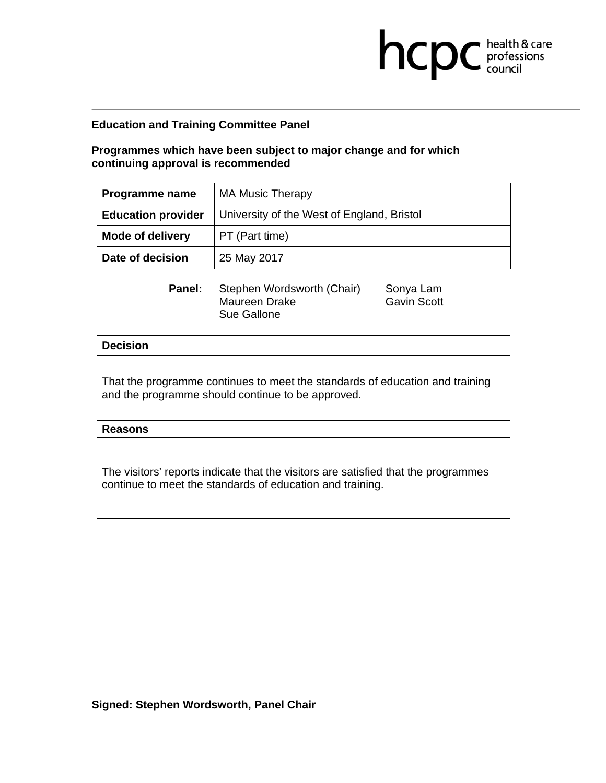**Programmes which have been subject to major change and for which continuing approval is recommended** 

| Programme name            | <b>MA Music Therapy</b>                    |
|---------------------------|--------------------------------------------|
| <b>Education provider</b> | University of the West of England, Bristol |
| <b>Mode of delivery</b>   | PT (Part time)                             |
| Date of decision          | 25 May 2017                                |

**health & care** 

**Panel:** Stephen Wordsworth (Chair) Sonya Lam Maureen Drake Gavin Scott Sue Gallone

**Decision** 

That the programme continues to meet the standards of education and training and the programme should continue to be approved.

**Reasons**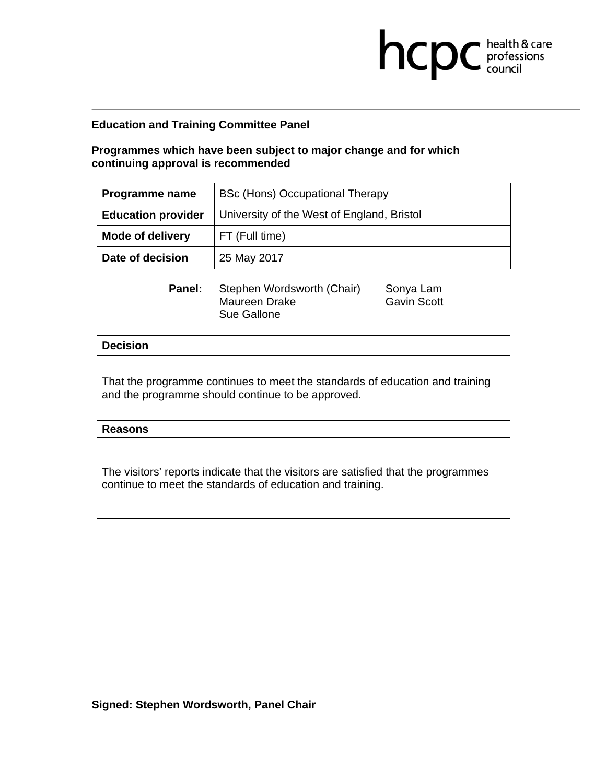**Programmes which have been subject to major change and for which continuing approval is recommended** 

| Programme name            | BSc (Hons) Occupational Therapy            |
|---------------------------|--------------------------------------------|
| <b>Education provider</b> | University of the West of England, Bristol |
| <b>Mode of delivery</b>   | FT (Full time)                             |
| Date of decision          | 25 May 2017                                |

**Panel:** Stephen Wordsworth (Chair) Sonya Lam Maureen Drake Gavin Scott Sue Gallone

**health & care** 

## **Decision**

That the programme continues to meet the standards of education and training and the programme should continue to be approved.

**Reasons**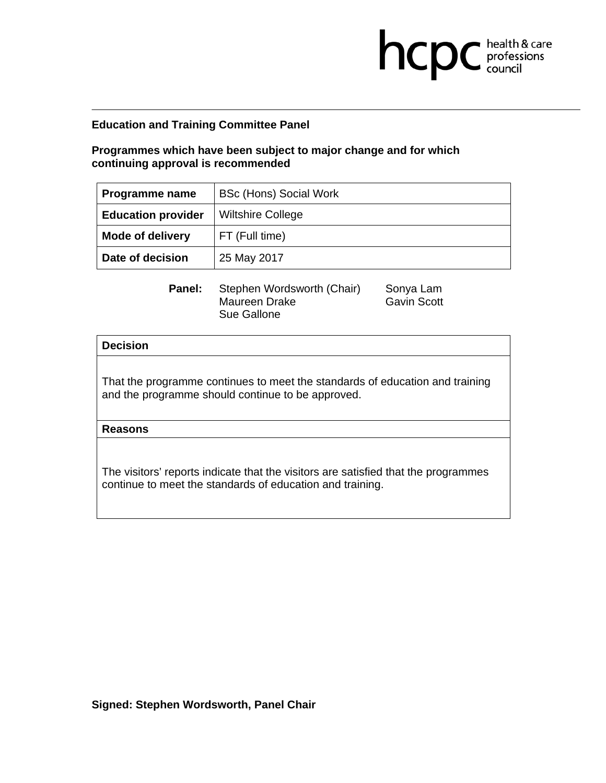**Programmes which have been subject to major change and for which continuing approval is recommended** 

| <b>Programme name</b>     | <b>BSc (Hons) Social Work</b> |
|---------------------------|-------------------------------|
| <b>Education provider</b> | <b>Wiltshire College</b>      |
| <b>Mode of delivery</b>   | FT (Full time)                |
| Date of decision          | 25 May 2017                   |

**Panel:** Stephen Wordsworth (Chair) Sonya Lam Maureen Drake Gavin Scott Sue Gallone

**health & care** 

## **Decision**

That the programme continues to meet the standards of education and training and the programme should continue to be approved.

**Reasons**